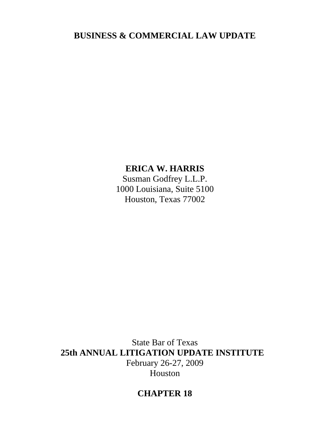# **BUSINESS & COMMERCIAL LAW UPDATE**

# **ERICA W. HARRIS**

Susman Godfrey L.L.P. 1000 Louisiana, Suite 5100 Houston, Texas 77002

State Bar of Texas **25th ANNUAL LITIGATION UPDATE INSTITUTE**  February 26-27, 2009 Houston

# **CHAPTER 18**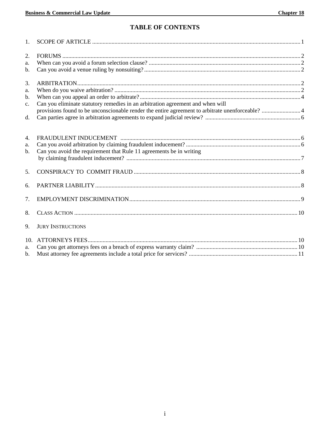## **TABLE OF CONTENTS**

| 1 <sub>1</sub> |                                                                                                  |  |
|----------------|--------------------------------------------------------------------------------------------------|--|
| 2.             |                                                                                                  |  |
| a.             |                                                                                                  |  |
| $\mathbf b$ .  |                                                                                                  |  |
| 3.             |                                                                                                  |  |
| a.             |                                                                                                  |  |
| b.             |                                                                                                  |  |
| $\mathbf{c}$ . | Can you eliminate statutory remedies in an arbitration agreement and when will                   |  |
|                | provisions found to be unconscionable render the entire agreement to arbitrate unenforceable?  4 |  |
| d.             |                                                                                                  |  |
| 4.             |                                                                                                  |  |
| a.             |                                                                                                  |  |
| $\mathbf{b}$ . | Can you avoid the requirement that Rule 11 agreements be in writing                              |  |
|                |                                                                                                  |  |
| 5.             |                                                                                                  |  |
| 6.             |                                                                                                  |  |
| 7.             |                                                                                                  |  |
| 8.             |                                                                                                  |  |
| 9.             | <b>JURY INSTRUCTIONS</b>                                                                         |  |
|                |                                                                                                  |  |
| a.             |                                                                                                  |  |
| $\mathbf{b}$ . |                                                                                                  |  |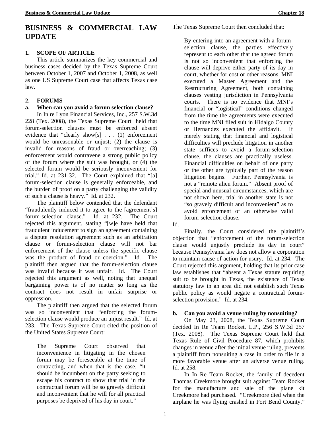## **BUSINESS & COMMERCIAL LAW UPDATE**

## **1. SCOPE OF ARTICLE**

 This article summarizes the key commercial and business cases decided by the Texas Supreme Court between October 1, 2007 and October 1, 2008, as well as one US Supreme Court case that affects Texas case law.

## **2. FORUMS**

## **a. When can you avoid a forum selection clause?**

In In re Lyon Financial Services, Inc., 257 S.W.3d 228 (Tex. 2008), the Texas Supreme Court held that forum-selection clauses must be enforced absent evidence that "clearly show[s] . . . (1) enforcement would be unreasonable or unjust; (2) the clause is invalid for reasons of fraud or overreaching; (3) enforcement would contravene a strong public policy of the forum where the suit was brought, or (4) the selected forum would be seriously inconvenient for trial." Id. at 231-32. The Court explained that "[a] forum-selection clause is generally enforceable, and the burden of proof on a party challenging the validity of such a clause is heavy." Id. at 232.

The plaintiff below contended that the defendant "fraudulently induced it to agree to the [agreement's] forum-selection clause." Id. at 232. The Court rejected this argument, stating "[w]e have held that fraudulent inducement to sign an agreement containing a dispute resolution agreement such as an arbitration clause or forum-selection clause will not bar enforcement of the clause unless the specific clause was the product of fraud or coercion." Id. The plaintiff then argued that the forum-selection clause was invalid because it was unfair. Id. The Court rejected this argument as well, noting that unequal bargaining power is of no matter so long as the contract does not result in unfair surprise or oppression.

The plaintiff then argued that the selected forum was so inconvenient that "enforcing the forumselection clause would produce an unjust result." Id. at 233. The Texas Supreme Court cited the position of the United States Supreme Court:

The Supreme Court observed that inconvenience in litigating in the chosen forum may be foreseeable at the time of contracting, and when that is the case, "it should be incumbent on the party seeking to escape his contract to show that trial in the contractual forum will be so gravely difficult and inconvenient that he will for all practical purposes be deprived of his day in court."

The Texas Supreme Court then concluded that:

By entering into an agreement with a forumselection clause, the parties effectively represent to each other that the agreed forum is not so inconvenient that enforcing the clause will deprive either party of its day in court, whether for cost or other reasons. MNI executed a Master Agreement and the Restructuring Agreement, both containing clauses vesting jurisdiction in Pennsylvania courts. There is no evidence that MNI's financial or "logistical" conditions changed from the time the agreements were executed to the time MNI filed suit in Hidalgo County or Hernandez executed the affidavit. If merely stating that financial and logistical difficulties will preclude litigation in another state suffices to avoid a forum-selection clause, the clauses are practically useless. Financial difficulties on behalf of one party or the other are typically part of the reason litigation begins. Further, Pennsylvania is not a "remote alien forum." Absent proof of special and unusual circumstances, which are not shown here, trial in another state is not "so gravely difficult and inconvenient" as to avoid enforcement of an otherwise valid forum-selection clause.

Id.

Finally, the Court considered the plaintiff's objection that "enforcement of the forum-selection clause would unjustly preclude its day in court" because Pennsylvania law does not allow a corporation to maintain cause of action for usury. Id. at 234. The Court rejected this argument, holding that its prior case law establishes that "absent a Texas statute requiring suit to be brought in Texas, the existence of Texas statutory law in an area did not establish such Texas public policy as would negate a contractual forumselection provision." Id. at 234.

### **b. Can you avoid a venue ruling by nonsuiting?**

On May 23, 2008, the Texas Supreme Court decided In Re Team Rocket, L.P., 256 S.W.3d 257 (Tex. 2008). The Texas Supreme Court held that Texas Rule of Civil Procedure 87, which prohibits changes in venue after the initial venue ruling, prevents a plaintiff from nonsuiting a case in order to file in a more favorable venue after an adverse venue ruling. Id. at 258.

In In Re Team Rocket, the family of decedent Thomas Creekmore brought suit against Team Rocket for the manufacture and sale of the plane kit Creekmore had purchased. "Creekmore died when the airplane he was flying crashed in Fort Bend County."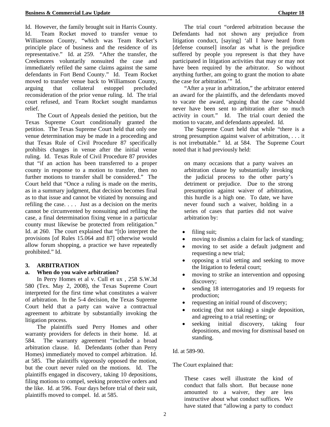Id. However, the family brought suit in Harris County. Id. Team Rocket moved to transfer venue to Williamson County, "which was Team Rocket's principle place of business and the residence of its representative." Id. at 259. "After the transfer, the Creekmores voluntarily nonsuited the case and immediately refiled the same claims against the same defendants in Fort Bend County." Id. Team Rocket moved to transfer venue back to Williamson County, arguing that collateral estoppel precluded reconsideration of the prior venue ruling. Id. The trial court refused, and Team Rocket sought mandamus relief.

The Court of Appeals denied the petition, but the Texas Supreme Court conditionally granted the petition. The Texas Supreme Court held that only one venue determination may be made in a proceeding and that Texas Rule of Civil Procedure 87 specifically prohibits changes in venue after the initial venue ruling. Id. Texas Rule of Civil Procedure 87 provides that "if an action has been transferred to a proper county in response to a motion to transfer, then no further motions to transfer shall be considered." The Court held that "Once a ruling is made on the merits, as in a summary judgment, that decision becomes final as to that issue and cannot be vitiated by nonsuing and refiling the case. . . . Just as a decision on the merits cannot be circumvented by nonsuiting and refiling the case, a final determination fixing venue in a particular county must likewise be protected from relitigation." Id. at 260. The court explained that "[t]o interpret the provisions [of Rules 15.064 and 87] otherwise would allow forum shopping, a practice we have repeatedly prohibited." Id.

## **3. ARBITRATION**

### **a. When do you waive arbitration?**

In Perry Homes et al v. Cull et ux , 258 S.W.3d 580 (Tex. May 2, 2008), the Texas Supreme Court interpreted for the first time what constitutes a waiver of arbitration. In the 5-4 decision, the Texas Supreme Court held that a party can waive a contractual agreement to arbitrate by substantially invoking the litigation process.

The plaintiffs sued Perry Homes and other warranty providers for defects in their home. Id. at 584. The warranty agreement "included a broad arbitration clause. Id. Defendants (other than Perry Homes) immediately moved to compel arbitration. Id. at 585. The plaintiffs vigorously opposed the motion, but the court never ruled on the motions. Id. The plaintiffs engaged in discovery, taking 10 depositions, filing motions to compel, seeking protective orders and the like. Id. at 596. Four days before trial of their suit, plaintiffs moved to compel. Id. at 585.

The trial court "ordered arbitration because the Defendants had not shown any prejudice from litigation conduct, [saying] 'all I have heard from [defense counsel] insofar as what is the prejudice suffered by people you represent is that they have participated in litigation activities that may or may not have been required by the arbitrator. So without anything further, am going to grant the motion to abate the case for arbitration.'" Id.

"After a year in arbitration," the arbitrator entered an award for the plaintiffs, and the defendants moved to vacate the award, arguing that the case "should never have been sent to arbitration after so much activity in court." Id. The trial court denied the motion to vacate, and defendants appealed. Id.

The Supreme Court held that while "there is a strong presumption against waiver of arbitration, . . . it is not irrebuttable." Id. at 584. The Supreme Court noted that it had previously held:

on many occasions that a party waives an arbitration clause by substantially invoking the judicial process to the other party's detriment or prejudice. Due to the strong presumption against waiver of arbitration, this hurdle is a high one. To date, we have never found such a waiver, holding in a series of cases that parties did not waive arbitration by:

- filing suit;
- moving to dismiss a claim for lack of standing;
- moving to set aside a default judgment and requesting a new trial;
- opposing a trial setting and seeking to move the litigation to federal court;
- moving to strike an intervention and opposing discovery;
- sending 18 interrogatories and 19 requests for production;
- requesting an initial round of discovery;
- noticing (but not taking) a single deposition, and agreeing to a trial resetting; or
- seeking initial discovery, taking four depositions, and moving for dismissal based on standing.

## Id. at 589-90.

## The Court explained that:

These cases well illustrate the kind of conduct that falls short. But because none amounted to a waiver, they are less instructive about what conduct suffices. We have stated that "allowing a party to conduct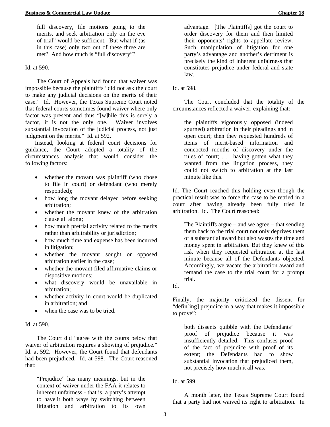full discovery, file motions going to the merits, and seek arbitration only on the eve of trial" would be sufficient. But what if (as in this case) only two out of these three are met? And how much is "full discovery"?

## Id. at 590.

The Court of Appeals had found that waiver was impossible because the plaintiffs "did not ask the court to make any judicial decisions on the merits of their case." Id. However, the Texas Supreme Court noted that federal courts sometimes found waiver where only factor was present and thus "[w]hile this is surely a factor, it is not the only one. Waiver involves substantial invocation of the judicial process, not just judgment on the merits." Id. at 592.

Instead, looking at federal court decisions for guidance, the Court adopted a totality of the circumstances analysis that would consider the following factors:

- whether the movant was plaintiff (who chose to file in court) or defendant (who merely responded);
- how long the movant delayed before seeking arbitration;
- whether the movant knew of the arbitration clause all along;
- how much pretrial activity related to the merits rather than arbitrability or jurisdiction;
- how much time and expense has been incurred in litigation;
- whether the movant sought or opposed arbitration earlier in the case;
- whether the movant filed affirmative claims or dispositive motions;
- what discovery would be unavailable in arbitration;
- whether activity in court would be duplicated in arbitration; and
- when the case was to be tried.

### Id. at 590.

The Court did "agree with the courts below that waiver of arbitration requires a showing of prejudice." Id. at 592. However, the Court found that defendants had been prejudiced. Id. at 598. The Court reasoned that:

"Prejudice" has many meanings, but in the context of waiver under the FAA it relates to inherent unfairness - that is, a party's attempt to have it both ways by switching between litigation and arbitration to its own

advantage. [The Plaintiffs] got the court to order discovery for them and then limited their opponents' rights to appellate review. Such manipulation of litigation for one party's advantage and another's detriment is precisely the kind of inherent unfairness that constitutes prejudice under federal and state law.

### Id. at 598.

The Court concluded that the totality of the circumstances reflected a waiver, explaining that:

the plaintiffs vigorously opposed (indeed spurned) arbitration in their pleadings and in open court; then they requested hundreds of items of merit-based information and concocted months of discovery under the rules of court; . . . having gotten what they wanted from the litigation process, they could not switch to arbitration at the last minute like this.

Id. The Court reached this holding even though the practical result was to force the case to be retried in a court after having already been fully tried in arbitration. Id. The Court reasoned:

The Plaintiffs argue – and we agree – that sending them back to the trial court not only deprives them of a substantial award but also wastes the time and money spent in arbitration. But they knew of this risk when they requested arbitration at the last minute because all of the Defendants objected. Accordingly, we vacate the arbitration award and remand the case to the trial court for a prompt trial.

Id.

Finally, the majority criticized the dissent for "defin[ing] prejudice in a way that makes it impossible to prove":

both dissents quibble with the Defendants' proof of prejudice because it was insufficiently detailed. This confuses proof of the fact of prejudice with proof of its extent; the Defendants had to show substantial invocation that prejudiced them, not precisely how much it all was.

### Id. at 599

A month later, the Texas Supreme Court found that a party had not waived its right to arbitration. In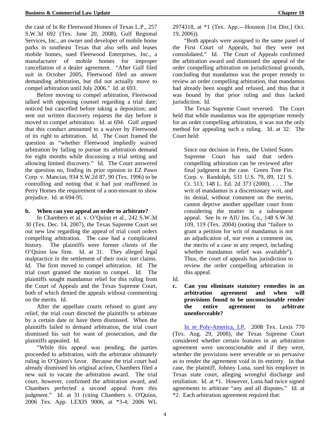the case of In Re Fleetwood Homes of Texas L.P., 257 S.W.3d 692 (Tex. June 20, 2008), Gulf Regional Services, Inc., an owner and developer of mobile home parks in southeast Texas that also sells and leases mobile homes, sued Fleetwood Enterprises, Inc., a manufacturer of mobile homes for improper cancellation of a dealer agreement. "After Gulf filed suit in October 2005, Fleetwood filed an answer demanding arbitration, but did not actually move to compel arbitration until July 2006." Id. at 693.

Before moving to compel arbitration, Fleetwood talked with opposing counsel regarding a trial date; noticed but cancelled before taking a deposition; and sent out written discovery requests the day before it moved to compel arbitration. Id. at 694. Gulf argued that this conduct amounted to a waiver by Fleetwood of its right to arbitration. Id. The Court framed the question as "whether Fleetwood impliedly waived arbitration by failing to pursue its arbitration demand for eight months while discussing a trial setting and allowing limited discovery." Id. The Court answered the question no, finding its prior opinion in EZ Pawn Corp. v. Mancias, 934 S.W.2d 87, 90 (Tex. 1996) to be controlling and noting that it had just reaffirmed in Perry Homes the requirement of a non-movant to show prejudice. Id. at 694-95.

### **b. When can you appeal an order to arbitrate?**

In Chambers et al. v. O'Quinn et al., 242 S.W.3d 30 (Tex. Dec. 14, 2007), the Texas Supreme Court set out new law regarding the appeal of trial court orders compelling arbitration. The case had a complicated history. The plaintiffs were former clients of the O'Quinn law firm. Id. at 31. They alleged legal malpractice in the settlement of their toxic tort claims. Id. The firm moved to compel arbitration. Id. The trial court granted the motion to compel. Id. The plaintiffs sought mandamus relief for this ruling from the Court of Appeals and the Texas Supreme Court, both of which denied the appeals without commenting on the merits. Id.

After the appellate courts refused to grant any relief, the trial court directed the plaintiffs to arbitrate by a certain date or have them dismissed. When the plaintiffs failed to demand arbitration, the trial court dismissed his suit for want of prosecution, and the plaintiffs appealed. Id.

"While this appeal was pending, the parties proceeded to arbitration, with the arbitrator ultimately ruling in O'Quinn's favor. Because the trial court had already dismissed his original action, Chambers filed a new suit to vacate the arbitration award. The trial court, however, confirmed the arbitration award, and Chambers perfected a second appeal from this judgment." Id. at 31 (citing Chambers v. O'Quinn, 2006 Tex. App. LEXIS 9006, at \*3-4; 2006 WL 2974318, at \*1 (Tex. App.—Houston [1st Dist.] Oct. 19, 2006)).

"Both appeals were assigned to the same panel of the First Court of Appeals, but they were not consolidated." Id. The Court of Appeals confirmed the arbitration award and dismissed the appeal of the order compelling arbitration on jurisdictional grounds, concluding that mandamus was the proper remedy to review an order compelling arbitration, that mandamus had already been sought and refused, and thus that it was bound by that prior ruling and thus lacked jurisdiction. Id.

The Texas Supreme Court reversed. The Court held that while mandamus was the appropriate remedy for an order compelling arbitration, it was not the only method for appealing such a ruling. Id. at 32. The Court held:

Since our decision in Freis, the United States Supreme Court has said that orders compelling arbitration can be reviewed after final judgment in the case. Green Tree Fin. Corp. v. Randolph, 531 U.S. 79, 89, 121 S. Ct. 513, 148 L. Ed. 2d 373 (2000). . . . The writ of mandamus is a discretionary writ, and its denial, without comment on the merits, cannot deprive another appellate court from considering the matter in a subsequent appeal. See In re AIU Ins. Co., 148 S.W.3d 109, 119 (Tex. 2004) (noting that "failure to grant a petition for writ of mandamus is not an adjudication of, nor even a comment on, the merits of a case in any respect, including whether mandamus relief was available"). Thus, the court of appeals has jurisdiction to review the order compelling arbitration in this appeal.

Id.

## **c. Can you eliminate statutory remedies in an arbitration agreement and when will provisions found to be unconscionable render the entire agreement to arbitrate unenforceable?**

In re Poly-America, LP, 2008 Tex. Lexis 770 (Tex. Aug. 29, 2008), the Texas Supreme Court considered whether certain features in an arbitration agreement were unconscionable and if they were, whether the provisions were severable or so pervasive as to render the agreement void in its entirety. In that case, the plaintiff, Johnny Luna, sued his employer in Texas state court, alleging wrongful discharge and retaliation. Id. at \*1. However, Luna had twice signed agreements to arbitrate "any and all disputes." Id. at \*2. Each arbitration agreement required that: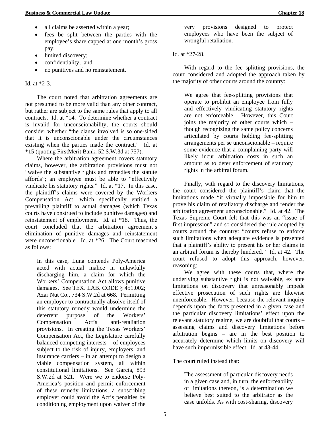- all claims be asserted within a year;
- fees be split between the parties with the employee's share capped at one month's gross pay;
- limited discovery;
- confidentiality; and
- no punitives and no reinstatement.

Id. at \*2-3.

The court noted that arbitration agreements are not presumed to be more valid than any other contract, but rather are subject to the same rules that apply to all contracts. Id. at \*14. To determine whether a contract is invalid for unconscionability, the courts should consider whether "the clause involved is so one-sided that it is unconscionable under the circumstances existing when the parties made the contract." Id. at \*15 (quoting FirstMerit Bank, 52 S.W.3d at 757).

Where the arbitration agreement covers statutory claims, however, the arbitration provisions must not "waive the substantive rights and remedies the statute affords"; an employee must be able to "effectively vindicate his statutory rights." Id. at \*17. In this case, the plaintiff's claims were covered by the Workers Compensation Act, which specifically entitled a prevailing plaintiff to actual damages (which Texas courts have construed to include punitive damages) and reinstatement of employment. Id. at \*18. Thus, the court concluded that the arbitration agreement's elimination of punitive damages and reinstatement were unconscionable. Id. at \*26. The Court reasoned as follows:

In this case, Luna contends Poly-America acted with actual malice in unlawfully discharging him, a claim for which the Workers' Compensation Act allows punitive damages. See TEX. LAB. CODE § 451.002; Azar Nut Co., 734 S.W.2d at 668. Permitting an employer to contractually absolve itself of this statutory remedy would undermine the deterrent purpose of the Workers' Compensation Act's anti-retaliation provisions. In creating the Texas Workers' Compensation Act, the Legislature carefully balanced competing interests – of employees subject to the risk of injury, employers, and insurance carriers – in an attempt to design a viable compensation system, all within constitutional limitations. See Garcia, 893 S.W.2d at 521. Were we to endorse Poly-America's position and permit enforcement of these remedy limitations, a subscribing employer could avoid the Act's penalties by conditioning employment upon waiver of the very provisions designed to protect employees who have been the subject of wrongful retaliation.

Id. at \*27-28.

With regard to the fee splitting provisions, the court considered and adopted the approach taken by the majority of other courts around the country:

We agree that fee-splitting provisions that operate to prohibit an employee from fully and effectively vindicating statutory rights are not enforceable. However, this Court joins the majority of other courts which – though recognizing the same policy concerns articulated by courts holding fee-splitting arrangements per se unconscionable – require some evidence that a complaining party will likely incur arbitration costs in such an amount as to deter enforcement of statutory rights in the arbitral forum.

Finally, with regard to the discovery limitations, the court considered the plaintiff's claim that the limitations made "it virtually impossible for him to prove his claim of retaliatory discharge and render the arbitration agreement unconscionable." Id. at 42. The Texas Supreme Court felt that this was an "issue of first impression" and so considered the rule adopted by courts around the country: "courts refuse to enforce such limitations when adequate evidence is presented that a plaintiff's ability to present his or her claims in an arbitral forum is thereby hindered." Id. at 42. The court refused to adopt this approach, however, reasoning:

We agree with these courts that, where the underlying substantive right is not waivable, ex ante limitations on discovery that unreasonably impede effective prosecution of such rights are likewise unenforceable. However, because the relevant inquiry depends upon the facts presented in a given case and the particular discovery limitations' effect upon the relevant statutory regime, we are doubtful that courts – assessing claims and discovery limitations before arbitration begins – are in the best position to accurately determine which limits on discovery will have such impermissible effect. Id. at 43-44.

The court ruled instead that:

The assessment of particular discovery needs in a given case and, in turn, the enforceability of limitations thereon, is a determination we believe best suited to the arbitrator as the case unfolds. As with cost-sharing, discovery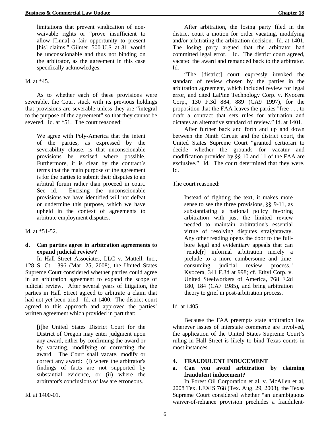limitations that prevent vindication of nonwaivable rights or "prove insufficient to allow [Luna] a fair opportunity to present [his] claims," Gilmer, 500 U.S. at 31, would be unconscionable and thus not binding on the arbitrator, as the agreement in this case specifically acknowledges.

Id. at  $*45$ .

As to whether each of these provisions were severable, the Court stuck with its previous holdings that provisions are severable unless they are "integral to the purpose of the agreement" so that they cannot be severed. Id. at \*51. The court reasoned:

We agree with Poly-America that the intent of the parties, as expressed by the severability clause, is that unconscionable provisions be excised where possible. Furthermore, it is clear by the contract's terms that the main purpose of the agreement is for the parties to submit their disputes to an arbitral forum rather than proceed in court. See id. Excising the unconscionable provisions we have identified will not defeat or undermine this purpose, which we have upheld in the context of agreements to arbitrate employment disputes.

Id. at \*51-52.

## **d. Can parties agree in arbitration agreements to expand judicial review?**

 In Hall Street Associates, LLC v. Mattell, Inc., 128 S. Ct. 1396 (Mar. 25, 2008), the United States Supreme Court considered whether parties could agree in an arbitration agreement to expand the scope of judicial review. After several years of litigation, the parties in Hall Street agreed to arbitrate a claim that had not yet been tried. Id. at 1400. The district court agreed to this approach and approved the parties' written agreement which provided in part that:

[t]he United States District Court for the District of Oregon may enter judgment upon any award, either by confirming the award or by vacating, modifying or correcting the award. The Court shall vacate, modify or correct any award: (i) where the arbitrator's findings of facts are not supported by substantial evidence, or (ii) where the arbitrator's conclusions of law are erroneous.

Id. at 1400-01.

 After arbitration, the losing party filed in the district court a motion for order vacating, modifying and/or arbitrating the arbitration decision. Id. at 1401. The losing party argued that the arbitrator had committed legal error. Id. The district court agreed, vacated the award and remanded back to the arbitrator. Id.

"The [district] court expressly invoked the standard of review chosen by the parties in the arbitration agreement, which included review for legal error, and cited LaPine Technology Corp. v. Kyocera Corp., 130 F.3d 884, 889 (CA9 1997), for the proposition that the FAA leaves the parties "free . . . to draft a contract that sets rules for arbitration and dictates an alternative standard of review." Id. at 1401.

After further back and forth and up and down between the Ninth Circuit and the district court, the United States Supreme Court "granted certiorari to decide whether the grounds for vacatur and modification provided by §§ 10 and 11 of the FAA are exclusive." Id. The court determined that they were. Id.

The court reasoned:

Instead of fighting the text, it makes more sense to see the three provisions, §§ 9-11, as substantiating a national policy favoring arbitration with just the limited review needed to maintain arbitration's essential virtue of resolving disputes straightaway. Any other reading opens the door to the fullbore legal and evidentiary appeals that can "rende[r] informal arbitration merely a prelude to a more cumbersome and timeconsuming judicial review process," Kyocera, 341 F.3d at 998; cf. Ethyl Corp. v. United Steelworkers of America, 768 F.2d 180, 184 (CA7 1985), and bring arbitration theory to grief in post-arbitration process.

## Id. at 1405.

 Because the FAA preempts state arbitration law wherever issues of interstate commerce are involved, the application of the United States Supreme Court's ruling in Hall Street is likely to bind Texas courts in most instances.

## **4. FRAUDULENT INDUCEMENT**

## **a. Can you avoid arbitration by claiming fraudulent inducement?**

In Forest Oil Corporation et al. v. McAllen et al, 2008 Tex. LEXIS 768 (Tex. Aug. 29, 2008), the Texas Supreme Court considered whether "an unambiguous waiver-of-reliance provision precludes a fraudulent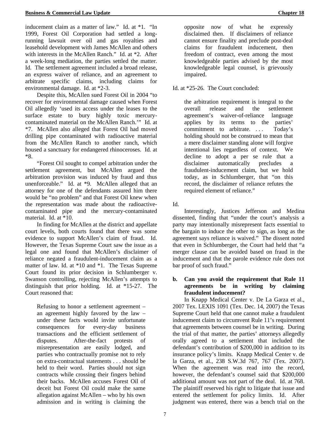inducement claim as a matter of law." Id. at \*1. "In 1999, Forest Oil Corporation had settled a longrunning lawsuit over oil and gas royalties and leasehold development with James McAllen and others with interests in the McAllen Ranch." Id. at \*2. After a week-long mediation, the parties settled the matter. Id. The settlement agreement included a broad release, an express waiver of reliance, and an agreement to arbitrate specific claims, including claims for environmental damage. Id. at \*2-3.

Despite this, McAllen sued Forest Oil in 2004 "to recover for environmental damage caused when Forest Oil allegedly 'used its access under the leases to the surface estate to bury highly toxic mercurycontaminated material on the McAllen Ranch.'" Id. at \*7. McAllen also alleged that Forest Oil had moved drilling pipe contaminated with radioactive material from the McAllen Ranch to another ranch, which housed a sanctuary for endangered rhinoceroses. Id. at \*8.

"Forest Oil sought to compel arbitration under the settlement agreement, but McAllen argued the arbitration provision was induced by fraud and thus unenforceable." Id. at \*9. McAllen alleged that an attorney for one of the defendants assured him there would be "no problem" and that Forest Oil knew when the representation was made about the radioactivecontaminated pipe and the mercury-contaminated material. Id. at \*10.

In finding for McAllen at the district and appellate court levels, both courts found that there was some evidence to support McAllen's claim of fraud. Id. However, the Texas Supreme Court saw the issue as a legal one and found that McAllen's disclaimer of reliance negated a fraudulent-inducement claim as a matter of law. Id. at \*10 and \*1. The Texas Supreme Court found its prior decision in Schlumberger v. Swanson controlling, rejecting McAllen's attempts to distinguish that prior holding. Id. at \*15-27. The Court reasoned that:

Refusing to honor a settlement agreement – an agreement highly favored by the law – under these facts would invite unfortunate consequences for every-day business transactions and the efficient settlement of disputes. After-the-fact protests of misrepresentation are easily lodged, and parties who contractually promise not to rely on extra-contractual statements . . . should be held to their word. Parties should not sign contracts while crossing their fingers behind their backs. McAllen accuses Forest Oil of deceit but Forest Oil could make the same allegation against McAllen – who by his own admission and in writing is claiming the

opposite now of what he expressly disclaimed then. If disclaimers of reliance cannot ensure finality and preclude post-deal claims for fraudulent inducement, then freedom of contract, even among the most knowledgeable parties advised by the most knowledgeable legal counsel, is grievously impaired.

## Id. at \*25-26. The Court concluded:

the arbitration requirement is integral to the overall release and the settlement agreement's waiver-of-reliance language applies by its terms to the parties' commitment to arbitrate. ... Today's holding should not be construed to mean that a mere disclaimer standing alone will forgive intentional lies regardless of context. We decline to adopt a per se rule that a disclaimer automatically precludes a fraudulent-inducement claim, but we hold today, as in Schlumberger, that "on this record, the disclaimer of reliance refutes the required element of reliance."

Id.

Interestingly, Justices Jefferson and Medina dissented, finding that "under the court's analysis a party may intentionally misrepresent facts essential to the bargain to induce the other to sign, as long as the agreement says reliance is waived." The dissent noted that even in Schlumberger, the Court had held that "a merger clause can be avoided based on fraud in the inducement and that the parole evidence rule does not bar proof of such fraud."

## **b. Can you avoid the requirement that Rule 11 agreements be in writing by claiming fraudulent inducement?**

In Knapp Medical Center v. De La Garza et al., 2007 Tex. LEXIS 1091 (Tex. Dec. 14, 2007) the Texas Supreme Court held that one cannot make a fraudulent inducement claim to circumvent Rule 11's requirement that agreements between counsel be in writing. During the trial of that matter, the parties' attorneys allegedly orally agreed to a settlement that included the defendant's contribution of \$200,000 in addition to its insurance policy's limits. Knapp Medical Center v. de la Garza, et al., 238 S.W.3d 767, 767 (Tex. 2007). When the agreement was read into the record, however, the defendant's counsel said that \$200,000 additional amount was not part of the deal. Id. at 768. The plaintiff reserved his right to litigate that issue and entered the settlement for policy limits. Id. After judgment was entered, there was a bench trial on the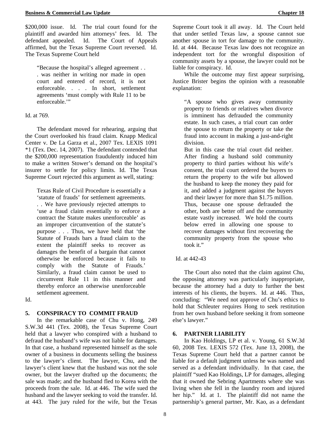\$200,000 issue. Id. The trial court found for the plaintiff and awarded him attorneys' fees. Id. The defendant appealed. Id. The Court of Appeals affirmed, but the Texas Supreme Court reversed. Id. The Texas Supreme Court held

"Because the hospital's alleged agreement . . . was neither in writing nor made in open court and entered of record, it is not enforceable. . . . In short, settlement agreements 'must comply with Rule 11 to be enforceable."

## Id. at 769.

The defendant moved for rehearing, arguing that the Court overlooked his fraud claim. Knapp Medical Center v. De La Garza et al., 2007 Tex. LEXIS 1091 \*1 (Tex. Dec. 14, 2007). The defendant contended that the \$200,000 representation fraudulently induced him to make a written Stower's demand on the hospital's insurer to settle for policy limits. Id. The Texas Supreme Court rejected this argument as well, stating:

Texas Rule of Civil Procedure is essentially a 'statute of frauds' for settlement agreements. . . We have previously rejected attempts to 'use a fraud claim essentially to enforce a contract the Statute makes unenforceable' as an improper circumvention of the statute's purpose . . . Thus, we have held that 'the Statute of Frauds bars a fraud claim to the extent the plaintiff seeks to recover as damages the benefit of a bargain that cannot otherwise be enforced because it fails to comply with the Statute of Frauds.' Similarly, a fraud claim cannot be used to circumvent Rule 11 in this manner and thereby enforce an otherwise unenforceable settlement agreement.

Id.

#### **5. CONSPIRACY TO COMMIT FRAUD**

In the remarkable case of Chu v. Hong, 249 S.W.3d 441 (Tex. 2008), the Texas Supreme Court held that a lawyer who conspired with a husband to defraud the husband's wife was not liable for damages. In that case, a husband represented himself as the sole owner of a business in documents selling the business to the lawyer's client. The lawyer, Chu, and the lawyer's client knew that the husband was not the sole owner, but the lawyer drafted up the documents; the sale was made; and the husband fled to Korea with the proceeds from the sale. Id. at 446. The wife sued the husband and the lawyer seeking to void the transfer. Id. at 443. The jury ruled for the wife, but the Texas

Supreme Court took it all away. Id. The Court held that under settled Texas law, a spouse cannot sue another spouse in tort for damage to the community. Id. at 444. Because Texas law does not recognize an independent tort for the wrongful disposition of community assets by a spouse, the lawyer could not be liable for conspiracy. Id.

While the outcome may first appear surprising, Justice Brister begins the opinion with a reasonable explanation:

"A spouse who gives away community property to friends or relatives when divorce is imminent has defrauded the community estate. In such cases, a trial court can order the spouse to return the property or take the fraud into account in making a just-and-right division.

But in this case the trial court did neither. After finding a husband sold community property to third parties without his wife's consent, the trial court ordered the buyers to return the property to the wife but allowed the husband to keep the money they paid for it, and added a judgment against the buyers and their lawyer for more than \$1.75 million. Thus, because one spouse defrauded the other, both are better off and the community estate vastly increased. We hold the courts below erred in allowing one spouse to recover damages without first recovering the community property from the spouse who took it."

#### Id. at 442-43

The Court also noted that the claim against Chu, the opposing attorney was particularly inappropriate, because the attorney had a duty to further the best interests of his clients, the buyers. Id. at 446. Thus, concluding: "We need not approve of Chu's ethics to hold that Schleuter requires Hong to seek restitution from her own husband before seeking it from someone else's lawyer."

#### **6. PARTNER LIABILITY**

In Kao Holdings, LP et al. v. Young, 61 S.W.3d 60, 2008 Tex. LEXIS 572 (Tex. June 13, 2008), the Texas Supreme Court held that a partner cannot be liable for a default judgment unless he was named and served as a defendant individually. In that case, the plaintiff "sued Kao Holdings, LP for damages, alleging that it owned the Sebring Apartments where she was living when she fell in the laundry room and injured her hip." Id. at 1. The plaintiff did not name the partnership's general partner, Mr. Kao, as a defendant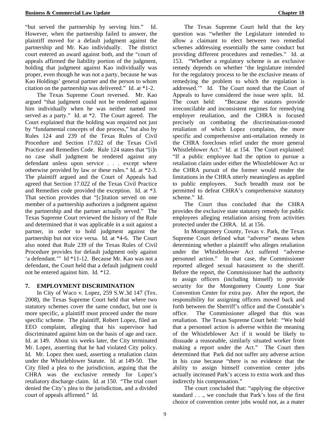"but served the partnership by serving him." Id. However, when the partnership failed to answer, the plaintiff moved for a default judgment against the partnership and Mr. Kao individually. The district court entered an award against both, and the "court of appeals affirmed the liability portion of the judgment, holding that judgment against Kao individually was proper, even though he was not a party, because he was Kao Holdings' general partner and the person to whom citation on the partnership was delivered." Id. at \*1-2.

The Texas Supreme Court reversed. Mr. Kao argued "that judgment could not be rendered against him individually when he was neither named nor served as a party." Id. at \*2. The Court agreed. The Court explained that the holding was required not just by "fundamental concepts of due process," but also by Rules 124 and 239 of the Texas Rules of Civil Procedure and Section 17.022 of the Texas Civil Practice and Remedies Code. Rule 124 states that "[i]n no case shall judgment be rendered against any defendant unless upon service . . . except where otherwise provided by law or these rules." Id. at \*2-3. The plaintiff argued and the Court of Appeals had agreed that Section 17.022 of the Texas Civil Practice and Remedies code provided the exception. Id. at \*3. That section provides that "[c]itation served on one member of a partnership authorizes a judgment against the partnership and the partner actually served." The Texas Supreme Court reviewed the history of the Rule and determined that it was applicable in a suit against a partner, in order to hold judgment against the partnership but not vice versa. Id. at \*4-6. The Court also noted that Rule 239 of the Texas Rules of Civil Procedure provides for default judgment only against 'a defendant.'" Id \*11-12. Because Mr. Kao was not a defendant, the Court held that a default judgment could not be entered against him. Id. \*12.

## **7. EMPLOYMENT DISCRIMINATION**

In City of Waco v. Lopez, 259 S.W.3d 147 (Tex. 2008), the Texas Supreme Court held that where two statutory schemes cover the same conduct, but one is more specific, a plaintiff must proceed under the more specific scheme. The plaintiff, Robert Lopez, filed an EEO complaint, alleging that his supervisor had discriminated against him on the basis of age and race. Id. at 149. About six weeks later, the City terminated Mr. Lopez, asserting that he had violated City policy. Id. Mr. Lopez then sued, asserting a retaliation claim under the Whistleblower Statute. Id. at 149-50. The City filed a plea to the jurisdiction, arguing that the CHRA was the exclusive remedy for Lopez's retaliatory discharge claim. Id. at 150. "The trial court denied the City's plea to the jurisdiction, and a divided court of appeals affirmed." Id.

The Texas Supreme Court held that the key question was "whether the Legislature intended to allow a claimant to elect between two remedial schemes addressing essentially the same conduct but providing different procedures and remedies." Id. at 153. "Whether a regulatory scheme is an exclusive remedy depends on whether 'the legislature intended for the regulatory process to be the exclusive means of remedying the problem to which the regulation is addressed.'" Id. The Court noted that the Court of Appeals to have considered the issue were split. Id. The court held: "Because the statutes provide irreconcilable and inconsistent regimes for remedying employer retaliation, and the CHRA is focused precisely on combating the discrimination-rooted retaliation of which Lopez complains, the more specific and comprehensive anti-retaliation remedy in the CHRA forecloses relief under the more general Whistleblower Act." Id. at 154. The Court explained: "If a public employee had the option to pursue a retaliation claim under either the Whistleblower Act or the CHRA pursuit of the former would render the limitations in the CHRA utterly meaningless as applied to public employees. Such breadth must not be permitted to defeat CHRA's comprehensive statutory scheme." Id.

The Court thus concluded that the CHRA provides the exclusive state statutory remedy for public employees alleging retaliation arising from activities protected under the CHRA. Id. at 156.

In Montgomery County, Texas v. Park, the Texas Supreme Court defined what "adverse" means when determining whether a plaintiff who alleges retaliation under the Whistleblower Act suffered "adverse personnel action." In that case, the Commissioner reported alleged sexual harassment to the sheriff. Before the report, the Commissioner had the authority to assign officers (including himself) to provide security for the Montgomery County Lone Star Convention Center for extra pay. After the report, the responsibility for assigning officers moved back and forth between the Sherriff's office and the Constable's office. The Commissioner alleged that this was retaliation. The Texas Supreme Court held: "We hold that a personnel action is adverse within the meaning of the Whistleblower Act if it would be likely to dissuade a reasonable, similarly situated worker from making a report under the Act." The Court then determined that Park did not suffer any adverse action in his case because "there is no evidence that the ability to assign himself convention center jobs actually increased Park's access to extra work and thus indirectly his compensation."

The court concluded that: "applying the objective standard . . ., we conclude that Park's loss of the first choice of convention center jobs would not, as a mater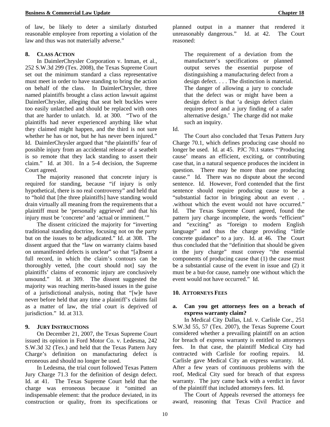of law, be likely to deter a similarly disturbed reasonable employee from reporting a violation of the law and thus was not materially adverse."

## **8. CLASS ACTION**

In DaimlerChrysler Corporation v. Inman, et al., 252 S.W.3d 299 (Tex. 2008), the Texas Supreme Court set out the minimum standard a class representative must meet in order to have standing to bring the action on behalf of the class. In DaimlerChrysler, three named plaintiffs brought a class action lawsuit against DaimlerChrysler, alleging that seat belt buckles were too easily unlatched and should be replaced with ones that are harder to unlatch. Id. at 300. "Two of the plaintiffs had never experienced anything like what they claimed might happen, and the third is not sure whether he has or not, but he has never been injured." Id. DaimlerChrysler argued that "the plaintiffs' fear of possible injury from an accidental release of a seatbelt is so remote that they lack standing to assert their claim." Id. at 301. In a 5-4 decision, the Supreme Court agreed.

The majority reasoned that concrete injury is required for standing, because "if injury is only hypothetical, there is no real controversy" and held that to "hold that [the three plaintiffs] have standing would drain virtually all meaning from the requirements that a plaintiff must be 'personally aggrieved' and that his injury must be 'concrete' and 'actual or imminent.'"

The dissent criticized the majority for "inverting traditional standing doctrine, focusing not on the party but on the issues to be adjudicated." Id. at 308. The dissent argued that the "law on warranty claims based on unmanifested defects is unclear" so that "[a]bsent a full record, in which the claim's contours can be thoroughly vetted, [the court should not] say the plaintiffs' claims of economic injury are conclusively unsound." Id. at 309. The dissent suggested the majority was reaching merits-based issues in the guise of a jurisdictional analysis, noting that "[w]e have never before held that any time a plaintiff's claims fail as a matter of law, the trial court is deprived of jurisdiction." Id. at 313.

## **9. JURY INSTRUCTIONS**

 On December 21, 2007, the Texas Supreme Court issued its opinion in Ford Motor Co. v. Ledesma, 242 S.W.3d 32 (Tex.) and held that the Texas Pattern Jury Charge's definition on manufacturing defect is erroneous and should no longer be used.

 In Ledesma, the trial court followed Texas Pattern Jury Charge 71.3 for the definition of design defect. Id. at 41. The Texas Supreme Court held that the charge was erroneous because it "omitted an indispensable element: that the produce deviated, in its construction or quality, from its specifications or planned output in a manner that rendered it unreasonably dangerous." Id. at 42. The Court reasoned:

The requirement of a deviation from the manufacturer's specifications or planned output serves the essential purpose of distinguishing a manufacturing defect from a design defect. . . . The distinction is material. The danger of allowing a jury to conclude that the defect was or might have been a design defect is that 'a design defect claim requires proof and a jury finding of a safer alternative design.' The charge did not make such an inquiry.

Id.

 The Court also concluded that Texas Pattern Jury Charge 70.1, which defines producing case should no longer be used. Id. at 45. PJC 70.1 states "'Producing cause' means an efficient, exciting, or contributing case that, in a natural sequence produces the incident in question. There may be more than one producing cause." Id. There was no dispute about the second sentence. Id. However, Ford contended that the first sentence should require producing cause to be a "substantial factor in bringing about an event . . .without which the event would not have occurred." Id. The Texas Supreme Court agreed, found the pattern jury charge incomplete, the words "efficient" and "exciting" as "foreign to modern English language" and thus the charge providing "little concrete guidance" to a jury. Id. at 46. The Court thus concluded that the "definition that should be given in the jury charge" must convey "the essential components of producing cause that (1) the cause must be a substantial cause of the event in issue and (2) it must be a but-for cause, namely one without which the event would not have occurred." Id.

## **10. ATTORNEYS FEES**

## **a. Can you get attorneys fees on a breach of express warranty claim?**

In Medical City Dallas, Ltd. v. Carlisle Cor., 251 S.W.3d 55, 57 (Tex. 2007), the Texas Supreme Court considered whether a prevailing plaintiff on an action for breach of express warranty is entitled to attorneys fees. In that case, the plaintiff Medical City had contracted with Carlisle for roofing repairs. Id. Carlisle gave Medical City an express warranty. Id. After a few years of continuous problems with the roof, Medical City sued for breach of that express warranty. The jury came back with a verdict in favor of the plaintiff that included attorneys fees. Id.

The Court of Appeals reversed the attorneys fee award, reasoning that Texas Civil Practice and